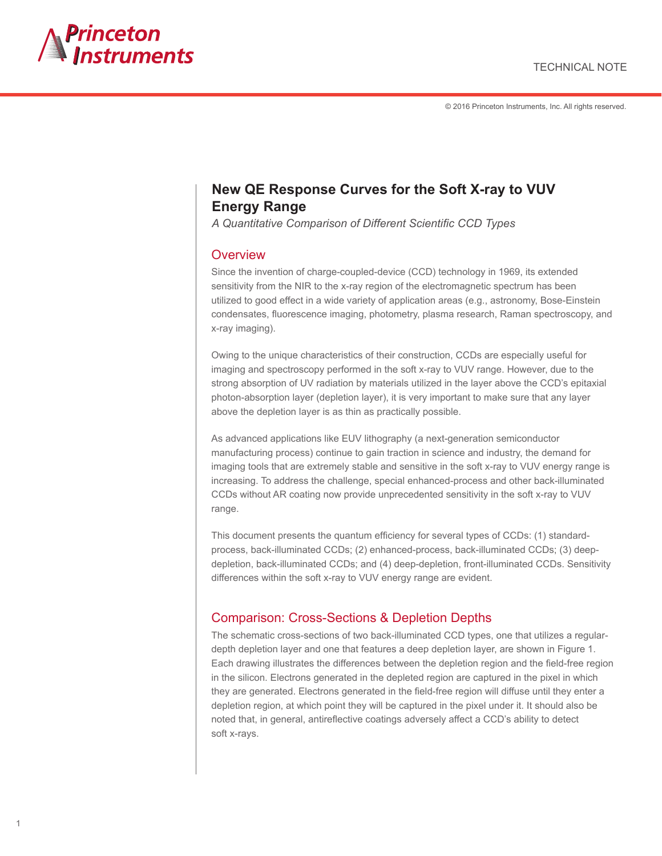

© 2016 Princeton Instruments, Inc. All rights reserved.

# **New QE Response Curves for the Soft X-ray to VUV Energy Range**

*A Quantitative Comparison of Different Scientific CCD Types*

#### **Overview**

Since the invention of charge-coupled-device (CCD) technology in 1969, its extended sensitivity from the NIR to the x-ray region of the electromagnetic spectrum has been utilized to good effect in a wide variety of application areas (e.g., astronomy, Bose-Einstein condensates, fluorescence imaging, photometry, plasma research, Raman spectroscopy, and x-ray imaging).

Owing to the unique characteristics of their construction, CCDs are especially useful for imaging and spectroscopy performed in the soft x-ray to VUV range. However, due to the strong absorption of UV radiation by materials utilized in the layer above the CCD's epitaxial photon-absorption layer (depletion layer), it is very important to make sure that any layer above the depletion layer is as thin as practically possible.

As advanced applications like EUV lithography (a next-generation semiconductor manufacturing process) continue to gain traction in science and industry, the demand for imaging tools that are extremely stable and sensitive in the soft x-ray to VUV energy range is increasing. To address the challenge, special enhanced-process and other back-illuminated CCDs without AR coating now provide unprecedented sensitivity in the soft x-ray to VUV range.

This document presents the quantum efficiency for several types of CCDs: (1) standardprocess, back-illuminated CCDs; (2) enhanced-process, back-illuminated CCDs; (3) deepdepletion, back-illuminated CCDs; and (4) deep-depletion, front-illuminated CCDs. Sensitivity differences within the soft x-ray to VUV energy range are evident.

### Comparison: Cross-Sections & Depletion Depths

The schematic cross-sections of two back-illuminated CCD types, one that utilizes a regulardepth depletion layer and one that features a deep depletion layer, are shown in Figure 1. Each drawing illustrates the differences between the depletion region and the field-free region in the silicon. Electrons generated in the depleted region are captured in the pixel in which they are generated. Electrons generated in the field-free region will diffuse until they enter a depletion region, at which point they will be captured in the pixel under it. It should also be noted that, in general, antireflective coatings adversely affect a CCD's ability to detect soft x-rays.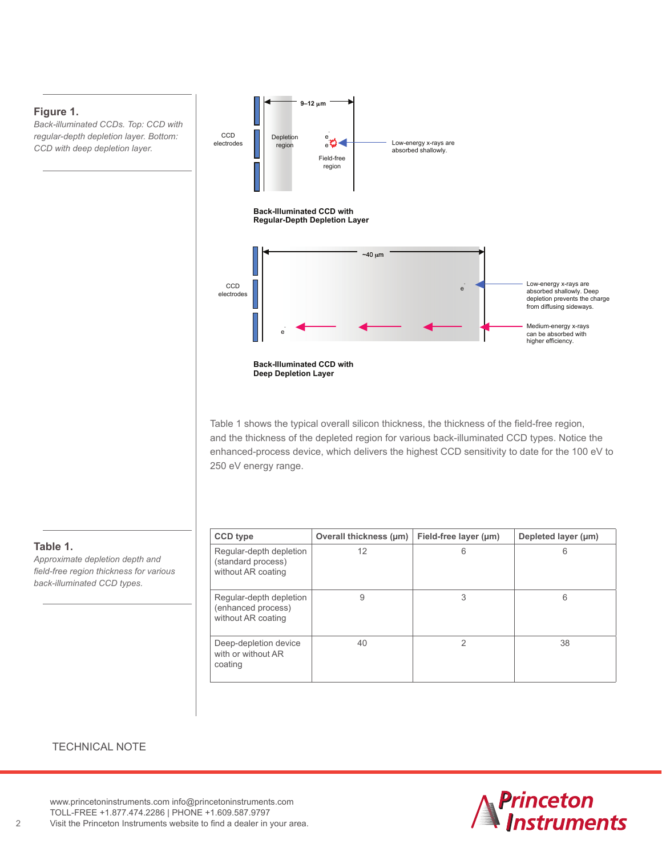#### **Figure 1.**

*Back-illuminated CCDs. Top: CCD with regular-depth depletion layer. Bottom: CCD with deep depletion layer.*



Table 1 shows the typical overall silicon thickness, the thickness of the field-free region, and the thickness of the depleted region for various back-illuminated CCD types. Notice the enhanced-process device, which delivers the highest CCD sensitivity to date for the 100 eV to 250 eV energy range.

| <b>CCD type</b>                                                     | Overall thickness (um) | Field-free layer (µm) | Depleted layer (µm) |
|---------------------------------------------------------------------|------------------------|-----------------------|---------------------|
| Regular-depth depletion<br>(standard process)<br>without AR coating | 12                     | 6                     | 6                   |
| Regular-depth depletion<br>(enhanced process)<br>without AR coating | 9                      | 3                     | 6                   |
| Deep-depletion device<br>with or without AR<br>coating              | 40                     | 2                     | 38                  |

#### **Table 1.**

*Approximate depletion depth and field-free region thickness for various back-illuminated CCD types.*

#### TECHNICAL NOTE

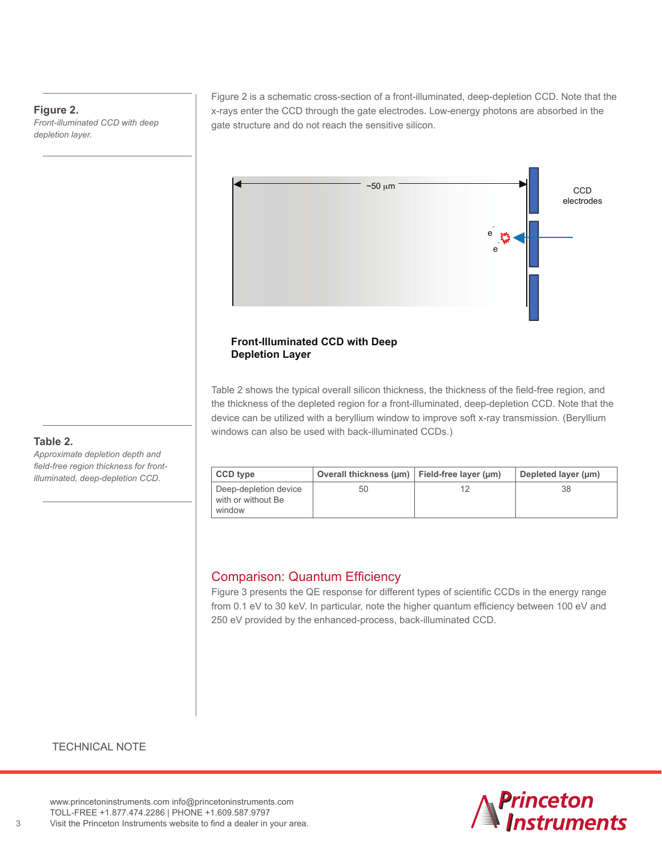#### **Figure 2.**

*Front-illuminated CCD with deep depletion layer.*

Figure 2 is a schematic cross-section of a front-illuminated, deep-depletion CCD. Note that the x-rays enter the CCD through the gate electrodes. Low-energy photons are absorbed in the gate structure and do not reach the sensitive silicon.



#### **Front-Illuminated CCD with Deep Depletion Layer**

Table 2 shows the typical overall silicon thickness, the thickness of the field-free region, and the thickness of the depleted region for a front-illuminated, deep-depletion CCD. Note that the device can be utilized with a beryllium window to improve soft x-ray transmission. (Beryllium windows can also be used with back-illuminated CCDs.)

| CCD type                                              | Overall thickness ( $\mu$ m)   Field-free layer ( $\mu$ m) | Depleted layer (um) |
|-------------------------------------------------------|------------------------------------------------------------|---------------------|
| Deep-depletion device<br>with or without Be<br>window | 50                                                         | 38                  |

# Comparison: Quantum Efficiency

Figure 3 presents the QE response for different types of scientific CCDs in the energy range from 0.1 eV to 30 keV. In particular, note the higher quantum efficiency between 100 eV and 250 eV provided by the enhanced-process, back-illuminated CCD.

#### **Table 2.**

*Approximate depletion depth and field-free region thickness for frontilluminated, deep-depletion CCD.*

#### TECHNICAL NOTE

<www.princetoninstruments.com> [info@princetoninstruments.com](mailto:info@princetoninstruments.com) TOLL-FREE +1.877.474.2286 | PHONE +1.609.587.9797



3 Visit the Princeton Instruments website to find a dealer in your area.